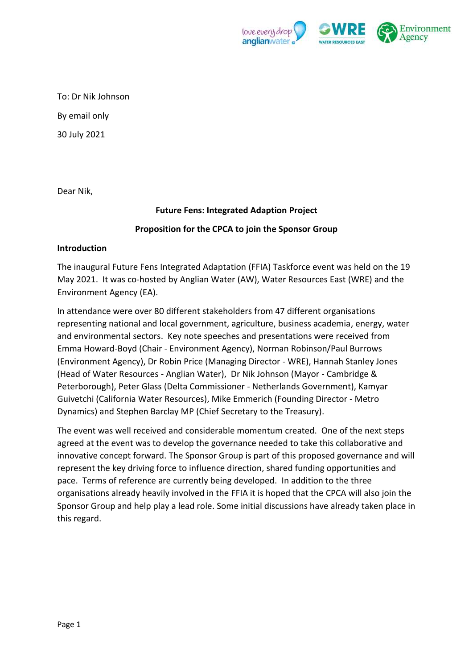

To: Dr Nik Johnson By email only

30 July 2021

Dear Nik,

# **Future Fens: Integrated Adaption Project**

## **Proposition for the CPCA to join the Sponsor Group**

## **Introduction**

The inaugural Future Fens Integrated Adaptation (FFIA) Taskforce event was held on the 19 May 2021. It was co-hosted by Anglian Water (AW), Water Resources East (WRE) and the Environment Agency (EA).

In attendance were over 80 different stakeholders from 47 different organisations representing national and local government, agriculture, business academia, energy, water and environmental sectors. Key note speeches and presentations were received from Emma Howard-Boyd (Chair - Environment Agency), Norman Robinson/Paul Burrows (Environment Agency), Dr Robin Price (Managing Director - WRE), Hannah Stanley Jones (Head of Water Resources - Anglian Water), Dr Nik Johnson (Mayor - Cambridge & Peterborough), Peter Glass (Delta Commissioner - Netherlands Government), Kamyar Guivetchi (California Water Resources), Mike Emmerich (Founding Director - Metro Dynamics) and Stephen Barclay MP (Chief Secretary to the Treasury).

The event was well received and considerable momentum created. One of the next steps agreed at the event was to develop the governance needed to take this collaborative and innovative concept forward. The Sponsor Group is part of this proposed governance and will represent the key driving force to influence direction, shared funding opportunities and pace. Terms of reference are currently being developed. In addition to the three organisations already heavily involved in the FFIA it is hoped that the CPCA will also join the Sponsor Group and help play a lead role. Some initial discussions have already taken place in this regard.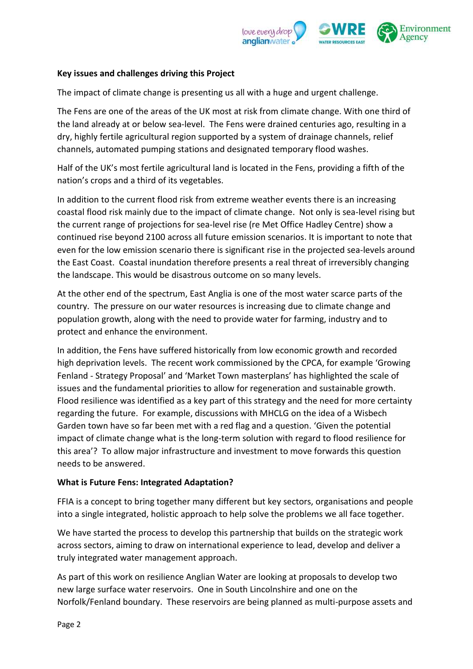

## **Key issues and challenges driving this Project**

The impact of climate change is presenting us all with a huge and urgent challenge.

The Fens are one of the areas of the UK most at risk from climate change. With one third of the land already at or below sea-level. The Fens were drained centuries ago, resulting in a dry, highly fertile agricultural region supported by a system of drainage channels, relief channels, automated pumping stations and designated temporary flood washes.

Half of the UK's most fertile agricultural land is located in the Fens, providing a fifth of the nation's crops and a third of its vegetables.

In addition to the current flood risk from extreme weather events there is an increasing coastal flood risk mainly due to the impact of climate change. Not only is sea-level rising but the current range of projections for sea-level rise (re Met Office Hadley Centre) show a continued rise beyond 2100 across all future emission scenarios. It is important to note that even for the low emission scenario there is significant rise in the projected sea-levels around the East Coast. Coastal inundation therefore presents a real threat of irreversibly changing the landscape. This would be disastrous outcome on so many levels.

At the other end of the spectrum, East Anglia is one of the most water scarce parts of the country. The pressure on our water resources is increasing due to climate change and population growth, along with the need to provide water for farming, industry and to protect and enhance the environment.

In addition, the Fens have suffered historically from low economic growth and recorded high deprivation levels. The recent work commissioned by the CPCA, for example 'Growing Fenland - Strategy Proposal' and 'Market Town masterplans' has highlighted the scale of issues and the fundamental priorities to allow for regeneration and sustainable growth. Flood resilience was identified as a key part of this strategy and the need for more certainty regarding the future. For example, discussions with MHCLG on the idea of a Wisbech Garden town have so far been met with a red flag and a question. 'Given the potential impact of climate change what is the long-term solution with regard to flood resilience for this area'? To allow major infrastructure and investment to move forwards this question needs to be answered.

## **What is Future Fens: Integrated Adaptation?**

FFIA is a concept to bring together many different but key sectors, organisations and people into a single integrated, holistic approach to help solve the problems we all face together.

We have started the process to develop this partnership that builds on the strategic work across sectors, aiming to draw on international experience to lead, develop and deliver a truly integrated water management approach.

As part of this work on resilience Anglian Water are looking at proposals to develop two new large surface water reservoirs. One in South Lincolnshire and one on the Norfolk/Fenland boundary. These reservoirs are being planned as multi-purpose assets and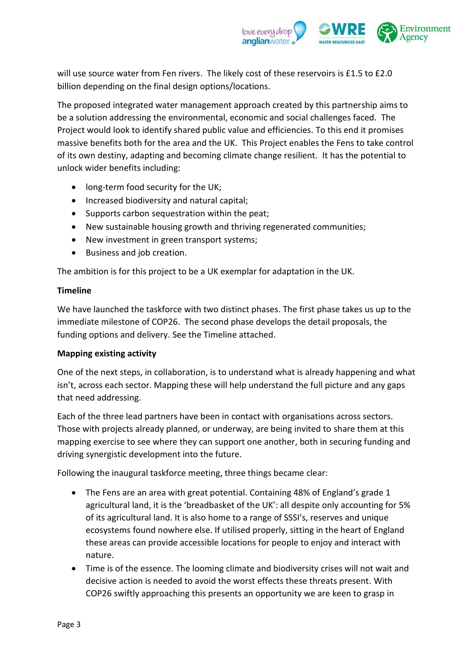

will use source water from Fen rivers. The likely cost of these reservoirs is £1.5 to £2.0 billion depending on the final design options/locations.

The proposed integrated water management approach created by this partnership aims to be a solution addressing the environmental, economic and social challenges faced. The Project would look to identify shared public value and efficiencies. To this end it promises massive benefits both for the area and the UK. This Project enables the Fens to take control of its own destiny, adapting and becoming climate change resilient. It has the potential to unlock wider benefits including:

- long-term food security for the UK;
- Increased biodiversity and natural capital;
- Supports carbon sequestration within the peat;
- New sustainable housing growth and thriving regenerated communities;
- New investment in green transport systems;
- Business and job creation.

The ambition is for this project to be a UK exemplar for adaptation in the UK.

## **Timeline**

We have launched the taskforce with two distinct phases. The first phase takes us up to the immediate milestone of COP26. The second phase develops the detail proposals, the funding options and delivery. See the Timeline attached.

## **Mapping existing activity**

One of the next steps, in collaboration, is to understand what is already happening and what isn't, across each sector. Mapping these will help understand the full picture and any gaps that need addressing.

Each of the three lead partners have been in contact with organisations across sectors. Those with projects already planned, or underway, are being invited to share them at this mapping exercise to see where they can support one another, both in securing funding and driving synergistic development into the future.

Following the inaugural taskforce meeting, three things became clear:

- The Fens are an area with great potential. Containing 48% of England's grade 1 agricultural land, it is the 'breadbasket of the UK': all despite only accounting for 5% of its agricultural land. It is also home to a range of SSSI's, reserves and unique ecosystems found nowhere else. If utilised properly, sitting in the heart of England these areas can provide accessible locations for people to enjoy and interact with nature.
- Time is of the essence. The looming climate and biodiversity crises will not wait and decisive action is needed to avoid the worst effects these threats present. With COP26 swiftly approaching this presents an opportunity we are keen to grasp in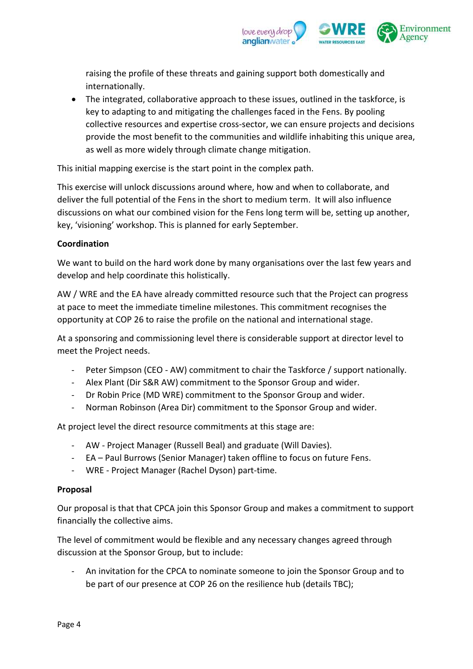

raising the profile of these threats and gaining support both domestically and internationally.

• The integrated, collaborative approach to these issues, outlined in the taskforce, is key to adapting to and mitigating the challenges faced in the Fens. By pooling collective resources and expertise cross-sector, we can ensure projects and decisions provide the most benefit to the communities and wildlife inhabiting this unique area, as well as more widely through climate change mitigation.

This initial mapping exercise is the start point in the complex path.

This exercise will unlock discussions around where, how and when to collaborate, and deliver the full potential of the Fens in the short to medium term. It will also influence discussions on what our combined vision for the Fens long term will be, setting up another, key, 'visioning' workshop. This is planned for early September.

# **Coordination**

We want to build on the hard work done by many organisations over the last few years and develop and help coordinate this holistically.

AW / WRE and the EA have already committed resource such that the Project can progress at pace to meet the immediate timeline milestones. This commitment recognises the opportunity at COP 26 to raise the profile on the national and international stage.

At a sponsoring and commissioning level there is considerable support at director level to meet the Project needs.

- Peter Simpson (CEO AW) commitment to chair the Taskforce / support nationally.
- Alex Plant (Dir S&R AW) commitment to the Sponsor Group and wider.
- Dr Robin Price (MD WRE) commitment to the Sponsor Group and wider.
- Norman Robinson (Area Dir) commitment to the Sponsor Group and wider.

At project level the direct resource commitments at this stage are:

- AW Project Manager (Russell Beal) and graduate (Will Davies).
- EA Paul Burrows (Senior Manager) taken offline to focus on future Fens.
- WRE Project Manager (Rachel Dyson) part-time.

#### **Proposal**

Our proposal is that that CPCA join this Sponsor Group and makes a commitment to support financially the collective aims.

The level of commitment would be flexible and any necessary changes agreed through discussion at the Sponsor Group, but to include:

An invitation for the CPCA to nominate someone to join the Sponsor Group and to be part of our presence at COP 26 on the resilience hub (details TBC);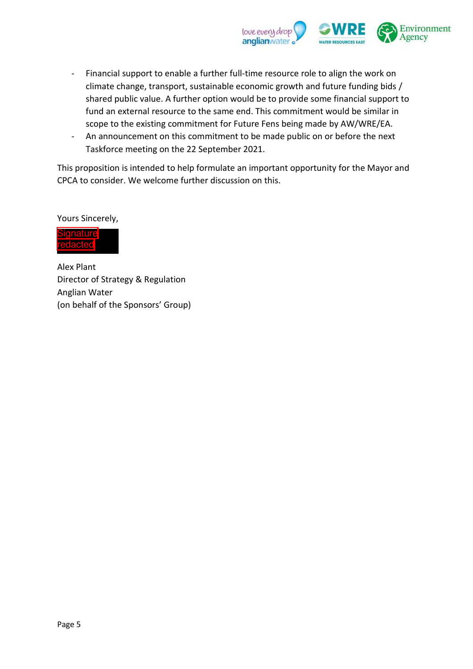

- Financial support to enable a further full-time resource role to align the work on climate change, transport, sustainable economic growth and future funding bids / shared public value. A further option would be to provide some financial support to fund an external resource to the same end. This commitment would be similar in scope to the existing commitment for Future Fens being made by AW/WRE/EA.
- An announcement on this commitment to be made public on or before the next Taskforce meeting on the 22 September 2021.

This proposition is intended to help formulate an important opportunity for the Mayor and CPCA to consider. We welcome further discussion on this.

Yours Sincerely,



Alex Plant Director of Strategy & Regulation Anglian Water (on behalf of the Sponsors' Group)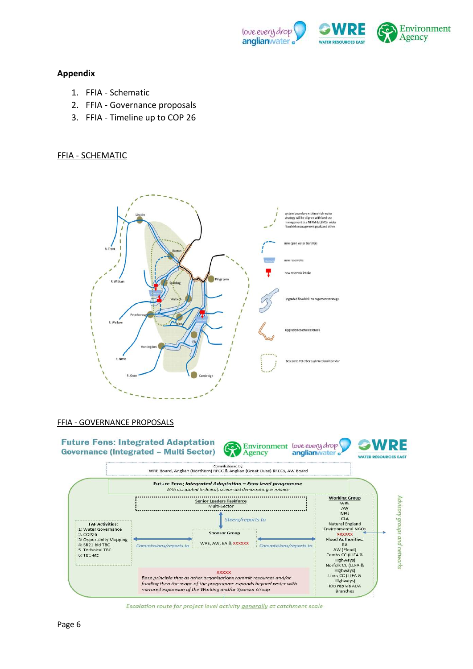

#### **Appendix**

- 1. FFIA Schematic
- 2. FFIA Governance proposals
- 3. FFIA Timeline up to COP 26

#### FFIA - SCHEMATIC





Escalation route for project level activity generally at catchment scale